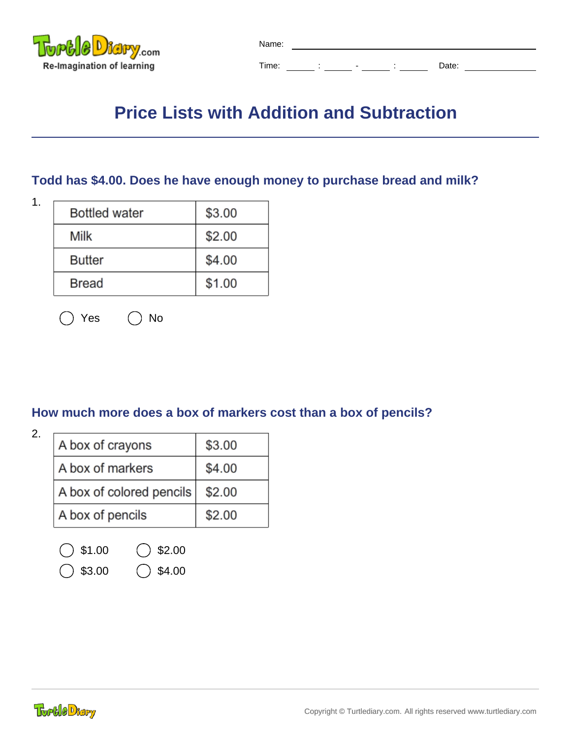

| Name: |  |   |   |  |       |  |  |
|-------|--|---|---|--|-------|--|--|
| Time: |  | ۰ | ٠ |  | Date: |  |  |

# **Price Lists with Addition and Subtraction**

#### **Todd has \$4.00. Does he have enough money to purchase bread and milk?**

| t.<br>I<br>۰. |  |
|---------------|--|
|               |  |

| <b>Bottled water</b> | \$3.00 |
|----------------------|--------|
| Milk                 | \$2.00 |
| <b>Butter</b>        | \$4.00 |
| <b>Bread</b>         | \$1.00 |

| $()$ Yes |  | )No |
|----------|--|-----|
|----------|--|-----|

#### **How much more does a box of markers cost than a box of pencils?**

| ۰. | .,<br>I<br>I<br>٦<br>I<br>٦ |  |
|----|-----------------------------|--|
|----|-----------------------------|--|

| A box of crayons         | \$3.00 |
|--------------------------|--------|
| A box of markers         | \$4.00 |
| A box of colored pencils | \$2.00 |
| A box of pencils         | \$2.00 |
|                          |        |

| $\bigcirc$ \$1.00 | $\bigcirc$ \$2.00 |
|-------------------|-------------------|
|                   |                   |

 $( )$  \$3.00  $( )$  \$4.00

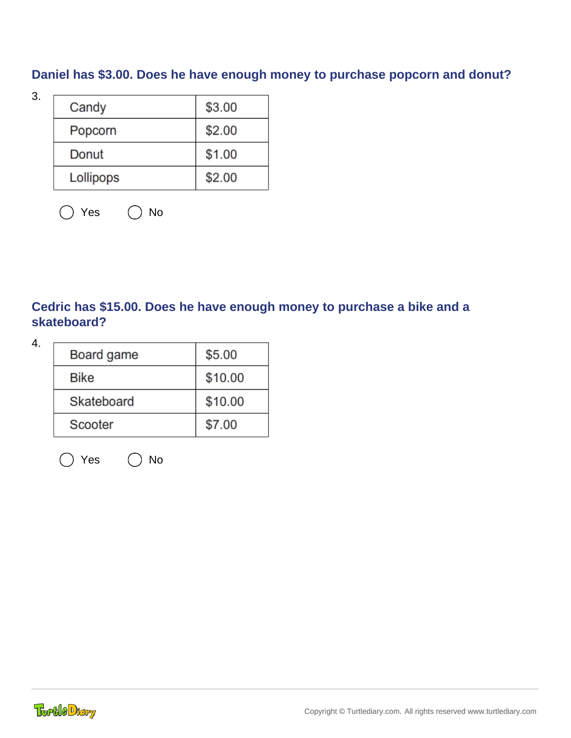## **Daniel has \$3.00. Does he have enough money to purchase popcorn and donut?**

| v                        |  |
|--------------------------|--|
| ۰.<br>v<br>۰,<br>۰.<br>× |  |

| Candy     | \$3.00 |
|-----------|--------|
| Popcorn   | \$2.00 |
| Donut     | \$1.00 |
| Lollipops | \$2.00 |

 $\bigcap$  Yes  $\bigcap$  No

### **Cedric has \$15.00. Does he have enough money to purchase a bike and a skateboard?**

| Board game  | \$5.00  |
|-------------|---------|
| <b>Bike</b> | \$10.00 |
| Skateboard  | \$10.00 |
| Scooter     | \$7.00  |
|             |         |

 $\bigcirc$  Yes  $\bigcirc$  No

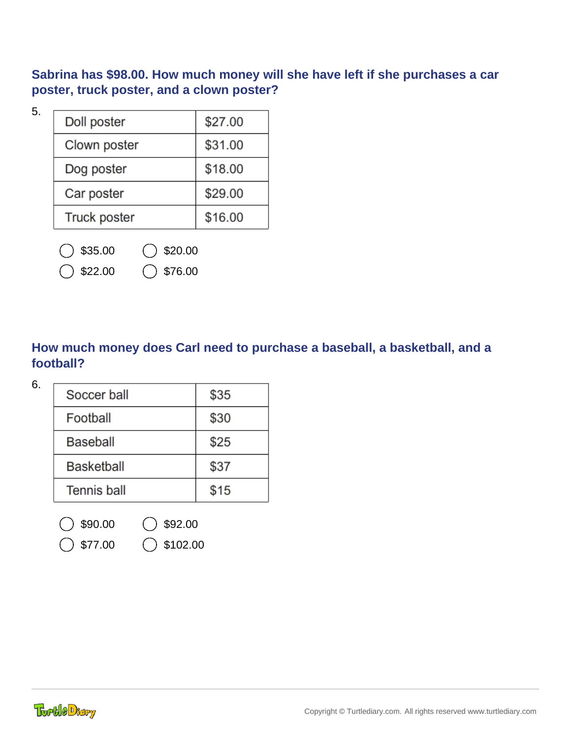**Sabrina has \$98.00. How much money will she have left if she purchases a car poster, truck poster, and a clown poster?**

5.

| Doll poster  | \$27.00 |
|--------------|---------|
| Clown poster | \$31.00 |
| Dog poster   | \$18.00 |
| Car poster   | \$29.00 |
| Truck poster | \$16.00 |

 $$35.00$   $$20.00$ 

 $$22.00$   $$76.00$ 

### **How much money does Carl need to purchase a baseball, a basketball, and a football?**

| Soccer ball       | \$35 |
|-------------------|------|
| Football          | \$30 |
| Baseball          | \$25 |
| <b>Basketball</b> | \$37 |
| Tennis ball       | \$15 |
|                   |      |

 $$90.00$   $$92.00$ 

 $$77.00$   $$102.00$ 

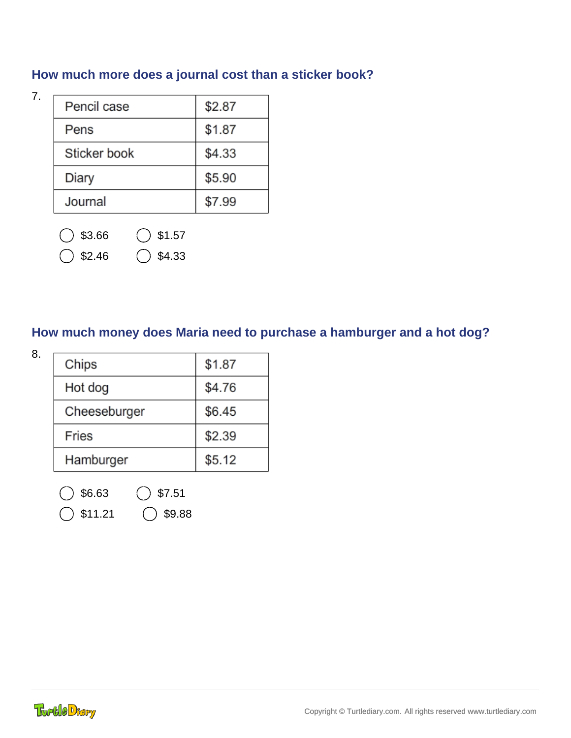## **How much more does a journal cost than a sticker book?**

7.

| Pencil case  | \$2.87 |
|--------------|--------|
| Pens         | \$1.87 |
| Sticker book | \$4.33 |
| Diary        | \$5.90 |
| Journal      | \$7.99 |

- $3.66$   $31.57$ 
	- $$2.46$   $\bigcirc$  \$4.33

### **How much money does Maria need to purchase a hamburger and a hot dog?**

| 8. | Chips        | \$1.87 |
|----|--------------|--------|
|    | Hot dog      | \$4.76 |
|    | Cheeseburger | \$6.45 |
|    | <b>Fries</b> | \$2.39 |
|    | Hamburger    | \$5.12 |
|    |              |        |

 $$6.63$   $$7.51$ 

 $$11.21$   $$9.88$ 

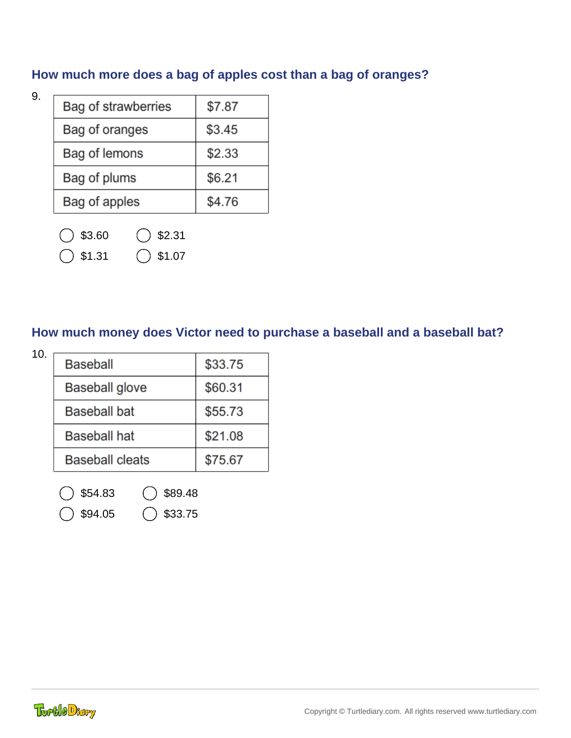## **How much more does a bag of apples cost than a bag of oranges?**

9.

| Bag of strawberries | \$7.87 |
|---------------------|--------|
| Bag of oranges      | \$3.45 |
| Bag of lemons       | \$2.33 |
| Bag of plums        | \$6.21 |
| Bag of apples       | \$4.76 |

- $\bigcirc$  \$3.60  $\bigcirc$  \$2.31
- $\big)$  \$1.31  $\bigcirc$  \$1.07

#### **How much money does Victor need to purchase a baseball and a baseball bat?**

| 10. |                        |         |
|-----|------------------------|---------|
|     | <b>Baseball</b>        | \$33.75 |
|     | Baseball glove         | \$60.31 |
|     | <b>Baseball bat</b>    | \$55.73 |
|     | <b>Baseball hat</b>    | \$21.08 |
|     | <b>Baseball cleats</b> | \$75.67 |
|     |                        |         |

 $$54.83$   $\bigcirc$  \$89.48

 $$94.05$   $$33.75$ 

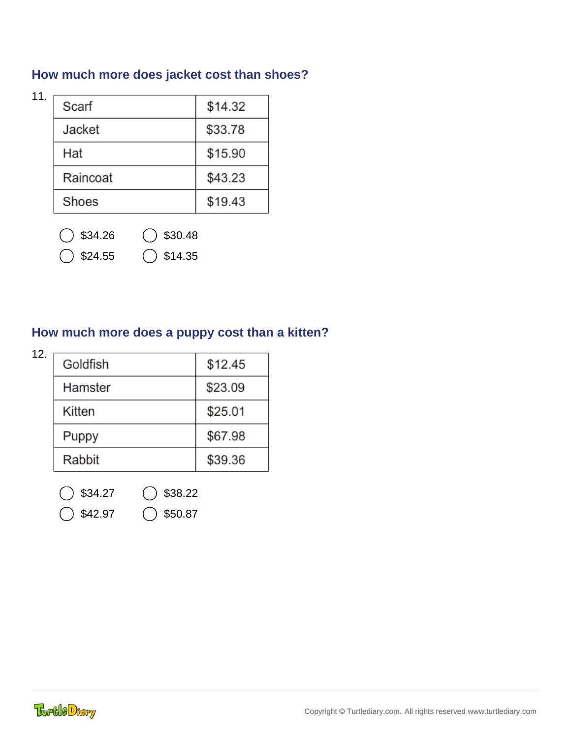## **How much more does jacket cost than shoes?**

11.

| Scarf    | \$14.32 |
|----------|---------|
| Jacket   | \$33.78 |
| Hat      | \$15.90 |
| Raincoat | \$43.23 |
| Shoes    | \$19.43 |

 $\big)$  \$34.26  $\bigcirc$  \$30.48

 $\bigcirc$  \$24.55  $\bigcirc$  \$14.35

## **How much more does a puppy cost than a kitten?**

| 12. |          |         |
|-----|----------|---------|
|     | Goldfish | \$12.45 |
|     | Hamster  | \$23.09 |
|     | Kitten   | \$25.01 |
|     | Puppy    | \$67.98 |
|     | Rabbit   | \$39.36 |
|     |          |         |

 $$34.27$   $$38.22$ 

 $342.97$   $350.87$ 

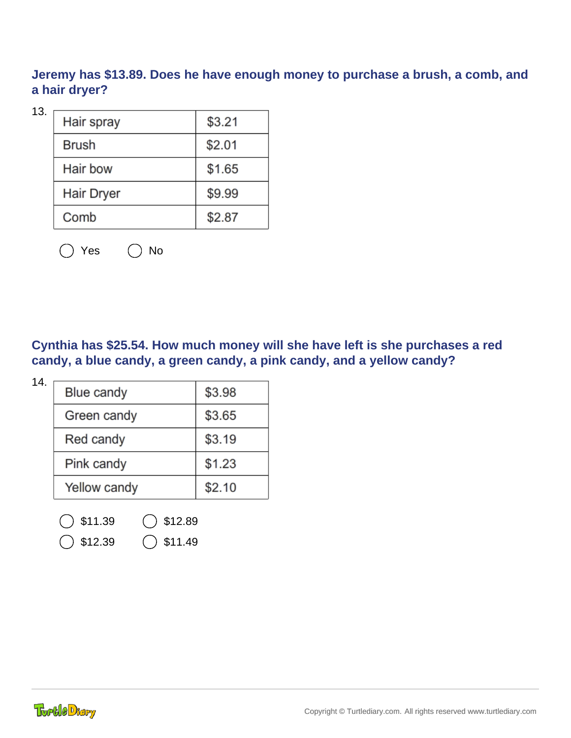**Jeremy has \$13.89. Does he have enough money to purchase a brush, a comb, and a hair dryer?**

13.

| Hair spray   | \$3.21 |
|--------------|--------|
| <b>Brush</b> | \$2.01 |
| Hair bow     | \$1.65 |
| Hair Dryer   | \$9.99 |
| Comb         | \$2.87 |

 $\bigcap$  Yes  $\bigcap$  No

**Cynthia has \$25.54. How much money will she have left is she purchases a red candy, a blue candy, a green candy, a pink candy, and a yellow candy?**

| 14. |              |        |
|-----|--------------|--------|
|     | Blue candy   | \$3.98 |
|     | Green candy  | \$3.65 |
|     | Red candy    | \$3.19 |
|     | Pink candy   | \$1.23 |
|     | Yellow candy | \$2.10 |
|     |              |        |

 $\big)$  \$11.39  $\bigcirc$  \$12.89

 $\bigcirc$  \$12.39  $\bigcirc$  \$11.49